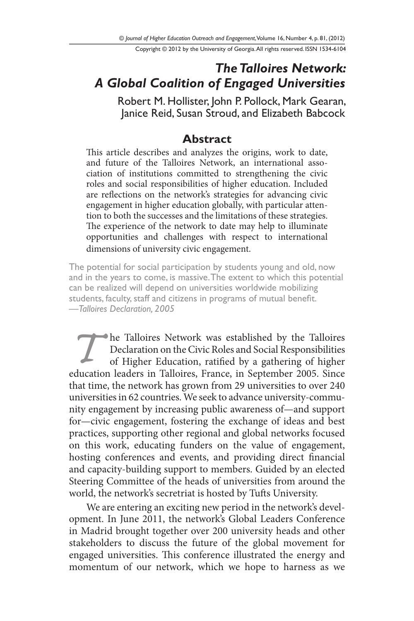Copyright © 2012 by the University of Georgia. All rights reserved. ISSN 1534-6104

## *The Talloires Network: A Global Coalition of Engaged Universities*

Robert M. Hollister, John P. Pollock, Mark Gearan, Janice Reid, Susan Stroud, and Elizabeth Babcock

#### **Abstract**

This article describes and analyzes the origins, work to date, and future of the Talloires Network, an international association of institutions committed to strengthening the civic roles and social responsibilities of higher education. Included are reflections on the network's strategies for advancing civic engagement in higher education globally, with particular attention to both the successes and the limitations of these strategies. The experience of the network to date may help to illuminate opportunities and challenges with respect to international dimensions of university civic engagement.

The potential for social participation by students young and old, now and in the years to come, is massive. The extent to which this potential can be realized will depend on universities worldwide mobilizing students, faculty, staff and citizens in programs of mutual benefit. *—Talloires Declaration, 2005*

**Talloires Network was established by the Talloires**<br>
Declaration on the Civic Roles and Social Responsibilities<br>
of Higher Education, ratified by a gathering of higher<br>
education leaders in Talloires, France, in September Declaration on the Civic Roles and Social Responsibilities of Higher Education, ratified by a gathering of higher that time, the network has grown from 29 universities to over 240 universities in 62 countries. We seek to advance university-community engagement by increasing public awareness of—and support for—civic engagement, fostering the exchange of ideas and best practices, supporting other regional and global networks focused on this work, educating funders on the value of engagement, hosting conferences and events, and providing direct financial and capacity-building support to members. Guided by an elected Steering Committee of the heads of universities from around the world, the network's secretriat is hosted by Tufts University.

We are entering an exciting new period in the network's development. In June 2011, the network's Global Leaders Conference in Madrid brought together over 200 university heads and other stakeholders to discuss the future of the global movement for engaged universities. This conference illustrated the energy and momentum of our network, which we hope to harness as we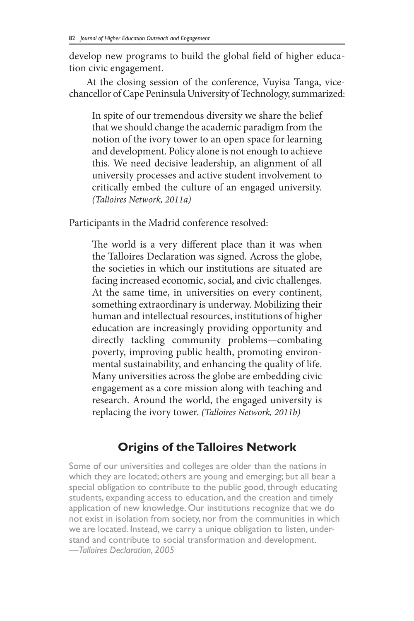develop new programs to build the global field of higher education civic engagement.

At the closing session of the conference, Vuyisa Tanga, vicechancellor of Cape Peninsula University of Technology, summarized:

In spite of our tremendous diversity we share the belief that we should change the academic paradigm from the notion of the ivory tower to an open space for learning and development. Policy alone is not enough to achieve this. We need decisive leadership, an alignment of all university processes and active student involvement to critically embed the culture of an engaged university. *(Talloires Network, 2011a)*

Participants in the Madrid conference resolved:

The world is a very different place than it was when the Talloires Declaration was signed. Across the globe, the societies in which our institutions are situated are facing increased economic, social, and civic challenges. At the same time, in universities on every continent, something extraordinary is underway. Mobilizing their human and intellectual resources, institutions of higher education are increasingly providing opportunity and directly tackling community problems—combating poverty, improving public health, promoting environmental sustainability, and enhancing the quality of life. Many universities across the globe are embedding civic engagement as a core mission along with teaching and research. Around the world, the engaged university is replacing the ivory tower. *(Talloires Network, 2011b)*

## **Origins of the Talloires Network**

Some of our universities and colleges are older than the nations in which they are located; others are young and emerging; but all bear a special obligation to contribute to the public good, through educating students, expanding access to education, and the creation and timely application of new knowledge. Our institutions recognize that we do not exist in isolation from society, nor from the communities in which we are located. Instead, we carry a unique obligation to listen, understand and contribute to social transformation and development. *—Talloires Declaration, 2005*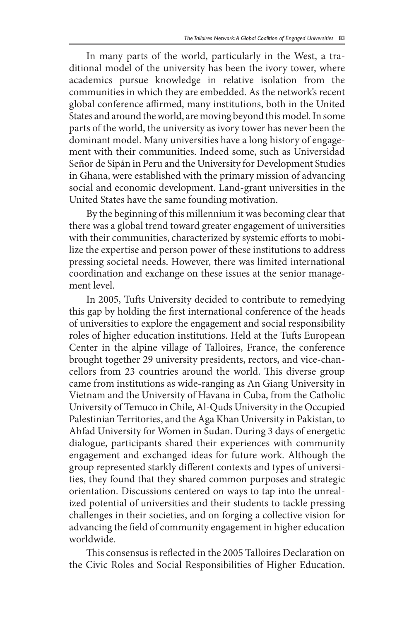In many parts of the world, particularly in the West, a traditional model of the university has been the ivory tower, where academics pursue knowledge in relative isolation from the communities in which they are embedded. As the network's recent global conference affirmed, many institutions, both in the United States and around the world, are moving beyond this model. In some parts of the world, the university as ivory tower has never been the dominant model. Many universities have a long history of engagement with their communities. Indeed some, such as Universidad Señor de Sipán in Peru and the University for Development Studies in Ghana, were established with the primary mission of advancing social and economic development. Land-grant universities in the United States have the same founding motivation.

By the beginning of this millennium it was becoming clear that there was a global trend toward greater engagement of universities with their communities, characterized by systemic efforts to mobilize the expertise and person power of these institutions to address pressing societal needs. However, there was limited international coordination and exchange on these issues at the senior management level.

In 2005, Tufts University decided to contribute to remedying this gap by holding the first international conference of the heads of universities to explore the engagement and social responsibility roles of higher education institutions. Held at the Tufts European Center in the alpine village of Talloires, France, the conference brought together 29 university presidents, rectors, and vice-chancellors from 23 countries around the world. This diverse group came from institutions as wide-ranging as An Giang University in Vietnam and the University of Havana in Cuba, from the Catholic University of Temuco in Chile, Al-Quds University in the Occupied Palestinian Territories, and the Aga Khan University in Pakistan, to Ahfad University for Women in Sudan. During 3 days of energetic dialogue, participants shared their experiences with community engagement and exchanged ideas for future work. Although the group represented starkly different contexts and types of universities, they found that they shared common purposes and strategic orientation. Discussions centered on ways to tap into the unrealized potential of universities and their students to tackle pressing challenges in their societies, and on forging a collective vision for advancing the field of community engagement in higher education worldwide.

This consensus is reflected in the 2005 Talloires Declaration on the Civic Roles and Social Responsibilities of Higher Education.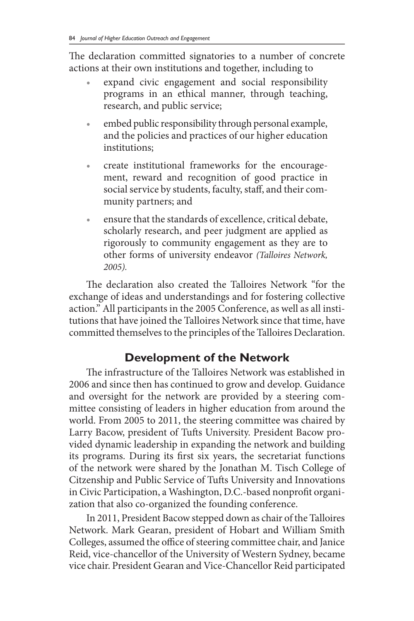The declaration committed signatories to a number of concrete actions at their own institutions and together, including to

- expand civic engagement and social responsibility programs in an ethical manner, through teaching, research, and public service;
- embed public responsibility through personal example, and the policies and practices of our higher education institutions;
- create institutional frameworks for the encouragement, reward and recognition of good practice in social service by students, faculty, staff, and their community partners; and
- ensure that the standards of excellence, critical debate, scholarly research, and peer judgment are applied as rigorously to community engagement as they are to other forms of university endeavor *(Talloires Network, 2005).*

The declaration also created the Talloires Network "for the exchange of ideas and understandings and for fostering collective action." All participants in the 2005 Conference, as well as all institutions that have joined the Talloires Network since that time, have committed themselves to the principles of the Talloires Declaration.

## **Development of the Network**

The infrastructure of the Talloires Network was established in 2006 and since then has continued to grow and develop. Guidance and oversight for the network are provided by a steering committee consisting of leaders in higher education from around the world. From 2005 to 2011, the steering committee was chaired by Larry Bacow, president of Tufts University. President Bacow provided dynamic leadership in expanding the network and building its programs. During its first six years, the secretariat functions of the network were shared by the Jonathan M. Tisch College of Citzenship and Public Service of Tufts University and Innovations in Civic Participation, a Washington, D.C.-based nonprofit organization that also co-organized the founding conference.

In 2011, President Bacow stepped down as chair of the Talloires Network. Mark Gearan, president of Hobart and William Smith Colleges, assumed the office of steering committee chair, and Janice Reid, vice-chancellor of the University of Western Sydney, became vice chair. President Gearan and Vice-Chancellor Reid participated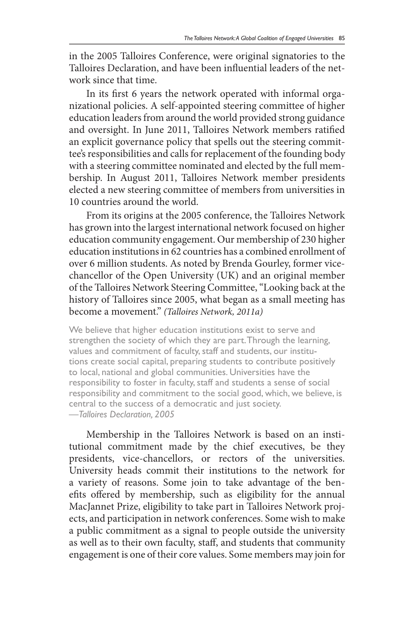in the 2005 Talloires Conference, were original signatories to the Talloires Declaration, and have been influential leaders of the network since that time.

In its first 6 years the network operated with informal organizational policies. A self-appointed steering committee of higher education leaders from around the world provided strong guidance and oversight. In June 2011, Talloires Network members ratified an explicit governance policy that spells out the steering committee's responsibilities and calls for replacement of the founding body with a steering committee nominated and elected by the full membership. In August 2011, Talloires Network member presidents elected a new steering committee of members from universities in 10 countries around the world.

From its origins at the 2005 conference, the Talloires Network has grown into the largest international network focused on higher education community engagement. Our membership of 230 higher education institutions in 62 countries has a combined enrollment of over 6 million students. As noted by Brenda Gourley, former vicechancellor of the Open University (UK) and an original member of the Talloires Network Steering Committee, "Looking back at the history of Talloires since 2005, what began as a small meeting has become a movement." *(Talloires Network, 2011a)*

We believe that higher education institutions exist to serve and strengthen the society of which they are part. Through the learning, values and commitment of faculty, staff and students, our institutions create social capital, preparing students to contribute positively to local, national and global communities. Universities have the responsibility to foster in faculty, staff and students a sense of social responsibility and commitment to the social good, which, we believe, is central to the success of a democratic and just society. *—Talloires Declaration, 2005*

Membership in the Talloires Network is based on an institutional commitment made by the chief executives, be they presidents, vice-chancellors, or rectors of the universities. University heads commit their institutions to the network for a variety of reasons. Some join to take advantage of the benefits offered by membership, such as eligibility for the annual MacJannet Prize, eligibility to take part in Talloires Network projects, and participation in network conferences. Some wish to make a public commitment as a signal to people outside the university as well as to their own faculty, staff, and students that community engagement is one of their core values. Some members may join for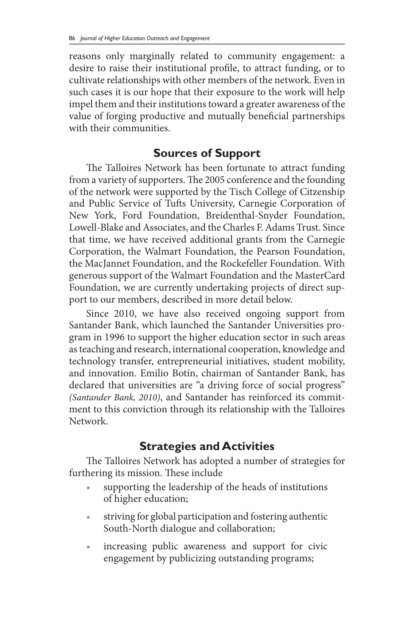reasons only marginally related to community engagement: a desire to raise their institutional profile, to attract funding, or to cultivate relationships with other members of the network. Even in such cases it is our hope that their exposure to the work will help impel them and their institutions toward a greater awareness of the value of forging productive and mutually beneficial partnerships with their communities.

### **Sources of Support**

The Talloires Network has been fortunate to attract funding from a variety of supporters. The 2005 conference and the founding of the network were supported by the Tisch College of Citzenship and Public Service of Tufts University, Carnegie Corporation of New York, Ford Foundation, Breidenthal-Snyder Foundation, Lowell-Blake and Associates, and the Charles F. Adams Trust. Since that time, we have received additional grants from the Carnegie Corporation, the Walmart Foundation, the Pearson Foundation, the MacJannet Foundation, and the Rockefeller Foundation. With generous support of the Walmart Foundation and the MasterCard Foundation, we are currently undertaking projects of direct support to our members, described in more detail below.

Since 2010, we have also received ongoing support from Santander Bank, which launched the Santander Universities program in 1996 to support the higher education sector in such areas as teaching and research, international cooperation, knowledge and technology transfer, entrepreneurial initiatives, student mobility, and innovation. Emilio Botín, chairman of Santander Bank, has declared that universities are "a driving force of social progress" *(Santander Bank, 2010)*, and Santander has reinforced its commitment to this conviction through its relationship with the Talloires Network.

## **Strategies and Activities**

The Talloires Network has adopted a number of strategies for furthering its mission. These include

- supporting the leadership of the heads of institutions of higher education;
- striving for global participation and fostering authentic South-North dialogue and collaboration;
- increasing public awareness and support for civic engagement by publicizing outstanding programs;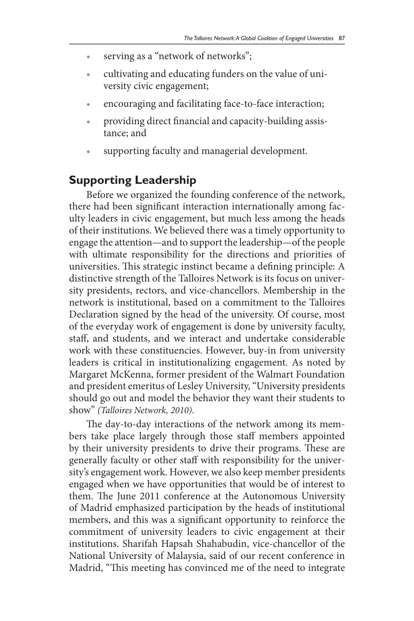- serving as a "network of networks";
- • cultivating and educating funders on the value of university civic engagement;
- encouraging and facilitating face-to-face interaction;
- providing direct financial and capacity-building assistance; and
- supporting faculty and managerial development.

#### **Supporting Leadership**

Before we organized the founding conference of the network, there had been significant interaction internationally among faculty leaders in civic engagement, but much less among the heads of their institutions. We believed there was a timely opportunity to engage the attention—and to support the leadership—of the people with ultimate responsibility for the directions and priorities of universities. This strategic instinct became a defining principle: A distinctive strength of the Talloires Network is its focus on university presidents, rectors, and vice-chancellors. Membership in the network is institutional, based on a commitment to the Talloires Declaration signed by the head of the university. Of course, most of the everyday work of engagement is done by university faculty, staff, and students, and we interact and undertake considerable work with these constituencies. However, buy-in from university leaders is critical in institutionalizing engagement. As noted by Margaret McKenna, former president of the Walmart Foundation and president emeritus of Lesley University, "University presidents should go out and model the behavior they want their students to show" *(Talloires Network, 2010)*.

The day-to-day interactions of the network among its members take place largely through those staff members appointed by their university presidents to drive their programs. These are generally faculty or other staff with responsibility for the university's engagement work. However, we also keep member presidents engaged when we have opportunities that would be of interest to them. The June 2011 conference at the Autonomous University of Madrid emphasized participation by the heads of institutional members, and this was a significant opportunity to reinforce the commitment of university leaders to civic engagement at their institutions. Sharifah Hapsah Shahabudin, vice-chancellor of the National University of Malaysia, said of our recent conference in Madrid, "This meeting has convinced me of the need to integrate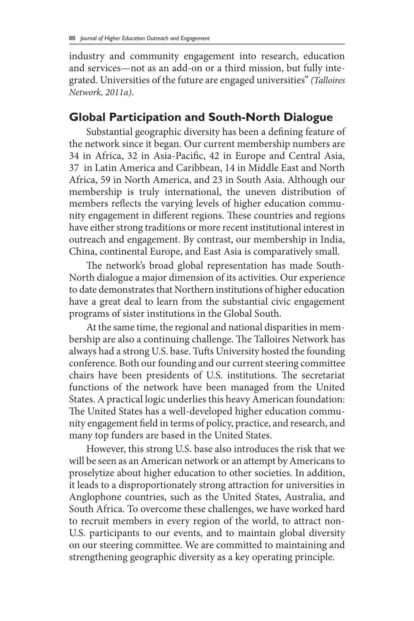industry and community engagement into research, education and services—not as an add-on or a third mission, but fully integrated. Universities of the future are engaged universities" *(Talloires Network, 2011a)*.

### **Global Participation and South-North Dialogue**

Substantial geographic diversity has been a defining feature of the network since it began. Our current membership numbers are 34 in Africa, 32 in Asia-Pacific, 42 in Europe and Central Asia, 37 in Latin America and Caribbean, 14 in Middle East and North Africa, 59 in North America, and 23 in South Asia. Although our membership is truly international, the uneven distribution of members reflects the varying levels of higher education community engagement in different regions. These countries and regions have either strong traditions or more recent institutional interest in outreach and engagement. By contrast, our membership in India, China, continental Europe, and East Asia is comparatively small.

The network's broad global representation has made South-North dialogue a major dimension of its activities. Our experience to date demonstrates that Northern institutions of higher education have a great deal to learn from the substantial civic engagement programs of sister institutions in the Global South.

At the same time, the regional and national disparities in membership are also a continuing challenge. The Talloires Network has always had a strong U.S. base. Tufts University hosted the founding conference. Both our founding and our current steering committee chairs have been presidents of U.S. institutions. The secretariat functions of the network have been managed from the United States. A practical logic underlies this heavy American foundation: The United States has a well-developed higher education community engagement field in terms of policy, practice, and research, and many top funders are based in the United States.

However, this strong U.S. base also introduces the risk that we will be seen as an American network or an attempt by Americans to proselytize about higher education to other societies. In addition, it leads to a disproportionately strong attraction for universities in Anglophone countries, such as the United States, Australia, and South Africa. To overcome these challenges, we have worked hard to recruit members in every region of the world, to attract non-U.S. participants to our events, and to maintain global diversity on our steering committee. We are committed to maintaining and strengthening geographic diversity as a key operating principle.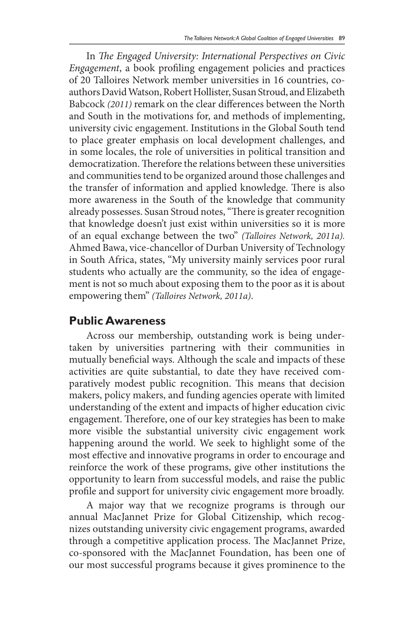In *The Engaged University: International Perspectives on Civic Engagement*, a book profiling engagement policies and practices of 20 Talloires Network member universities in 16 countries, coauthors David Watson, Robert Hollister, Susan Stroud, and Elizabeth Babcock *(2011)* remark on the clear differences between the North and South in the motivations for, and methods of implementing, university civic engagement. Institutions in the Global South tend to place greater emphasis on local development challenges, and in some locales, the role of universities in political transition and democratization. Therefore the relations between these universities and communities tend to be organized around those challenges and the transfer of information and applied knowledge. There is also more awareness in the South of the knowledge that community already possesses. Susan Stroud notes, "There is greater recognition that knowledge doesn't just exist within universities so it is more of an equal exchange between the two" *(Talloires Network, 2011a).*  Ahmed Bawa, vice-chancellor of Durban University of Technology in South Africa, states, "My university mainly services poor rural students who actually are the community, so the idea of engagement is not so much about exposing them to the poor as it is about empowering them" *(Talloires Network, 2011a)*.

#### **Public Awareness**

Across our membership, outstanding work is being undertaken by universities partnering with their communities in mutually beneficial ways. Although the scale and impacts of these activities are quite substantial, to date they have received comparatively modest public recognition. This means that decision makers, policy makers, and funding agencies operate with limited understanding of the extent and impacts of higher education civic engagement. Therefore, one of our key strategies has been to make more visible the substantial university civic engagement work happening around the world. We seek to highlight some of the most effective and innovative programs in order to encourage and reinforce the work of these programs, give other institutions the opportunity to learn from successful models, and raise the public profile and support for university civic engagement more broadly.

A major way that we recognize programs is through our annual MacJannet Prize for Global Citizenship, which recognizes outstanding university civic engagement programs, awarded through a competitive application process. The MacJannet Prize, co-sponsored with the MacJannet Foundation, has been one of our most successful programs because it gives prominence to the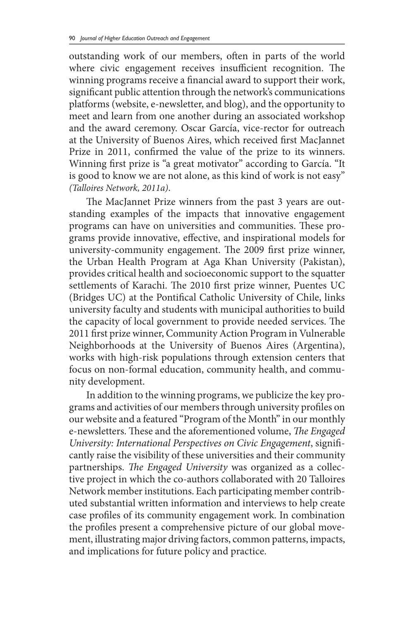outstanding work of our members, often in parts of the world where civic engagement receives insufficient recognition. The winning programs receive a financial award to support their work, significant public attention through the network's communications platforms (website, e-newsletter, and blog), and the opportunity to meet and learn from one another during an associated workshop and the award ceremony. Oscar García, vice-rector for outreach at the University of Buenos Aires, which received first MacJannet Prize in 2011, confirmed the value of the prize to its winners. Winning first prize is "a great motivator" according to García. "It is good to know we are not alone, as this kind of work is not easy" *(Talloires Network, 2011a)*.

The MacJannet Prize winners from the past 3 years are outstanding examples of the impacts that innovative engagement programs can have on universities and communities. These programs provide innovative, effective, and inspirational models for university-community engagement. The 2009 first prize winner, the Urban Health Program at Aga Khan University (Pakistan), provides critical health and socioeconomic support to the squatter settlements of Karachi. The 2010 first prize winner, Puentes UC (Bridges UC) at the Pontifical Catholic University of Chile, links university faculty and students with municipal authorities to build the capacity of local government to provide needed services. The 2011 first prize winner, Community Action Program in Vulnerable Neighborhoods at the University of Buenos Aires (Argentina), works with high-risk populations through extension centers that focus on non-formal education, community health, and community development.

In addition to the winning programs, we publicize the key programs and activities of our members through university profiles on our website and a featured "Program of the Month" in our monthly e-newsletters. These and the aforementioned volume, *The Engaged University: International Perspectives on Civic Engagement*, significantly raise the visibility of these universities and their community partnerships. *The Engaged University* was organized as a collective project in which the co-authors collaborated with 20 Talloires Network member institutions. Each participating member contributed substantial written information and interviews to help create case profiles of its community engagement work. In combination the profiles present a comprehensive picture of our global movement, illustrating major driving factors, common patterns, impacts, and implications for future policy and practice.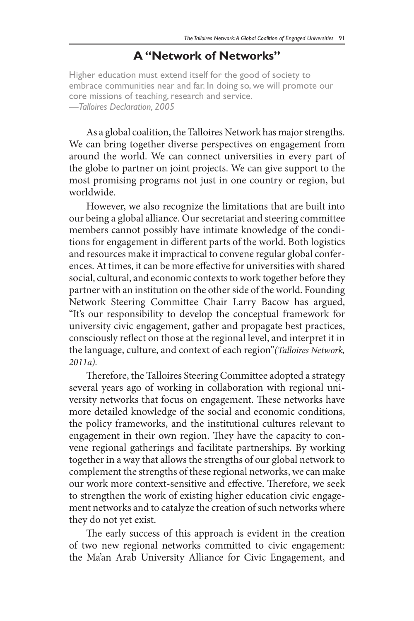#### **A "Network of Networks"**

Higher education must extend itself for the good of society to embrace communities near and far. In doing so, we will promote our core missions of teaching, research and service. *—Talloires Declaration, 2005*

As a global coalition, the Talloires Network has major strengths. We can bring together diverse perspectives on engagement from around the world. We can connect universities in every part of the globe to partner on joint projects. We can give support to the most promising programs not just in one country or region, but worldwide.

However, we also recognize the limitations that are built into our being a global alliance. Our secretariat and steering committee members cannot possibly have intimate knowledge of the conditions for engagement in different parts of the world. Both logistics and resources make it impractical to convene regular global conferences. At times, it can be more effective for universities with shared social, cultural, and economic contexts to work together before they partner with an institution on the other side of the world. Founding Network Steering Committee Chair Larry Bacow has argued, "It's our responsibility to develop the conceptual framework for university civic engagement, gather and propagate best practices, consciously reflect on those at the regional level, and interpret it in the language, culture, and context of each region"*(Talloires Network, 2011a).*

Therefore, the Talloires Steering Committee adopted a strategy several years ago of working in collaboration with regional university networks that focus on engagement. These networks have more detailed knowledge of the social and economic conditions, the policy frameworks, and the institutional cultures relevant to engagement in their own region. They have the capacity to convene regional gatherings and facilitate partnerships. By working together in a way that allows the strengths of our global network to complement the strengths of these regional networks, we can make our work more context-sensitive and effective. Therefore, we seek to strengthen the work of existing higher education civic engagement networks and to catalyze the creation of such networks where they do not yet exist.

The early success of this approach is evident in the creation of two new regional networks committed to civic engagement: the Ma'an Arab University Alliance for Civic Engagement, and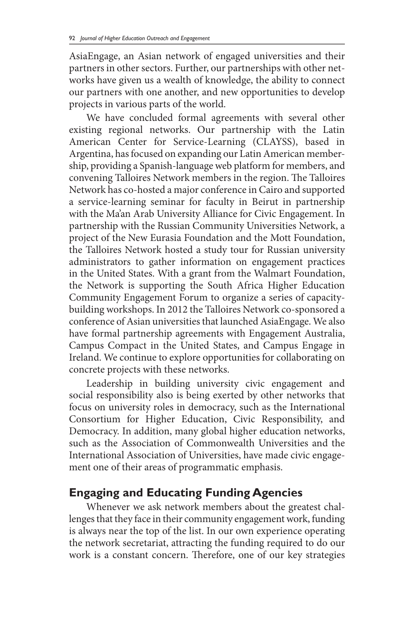AsiaEngage, an Asian network of engaged universities and their partners in other sectors. Further, our partnerships with other networks have given us a wealth of knowledge, the ability to connect our partners with one another, and new opportunities to develop projects in various parts of the world.

We have concluded formal agreements with several other existing regional networks. Our partnership with the Latin American Center for Service-Learning (CLAYSS), based in Argentina, has focused on expanding our Latin American membership, providing a Spanish-language web platform for members, and convening Talloires Network members in the region. The Talloires Network has co-hosted a major conference in Cairo and supported a service-learning seminar for faculty in Beirut in partnership with the Ma'an Arab University Alliance for Civic Engagement. In partnership with the Russian Community Universities Network, a project of the New Eurasia Foundation and the Mott Foundation, the Talloires Network hosted a study tour for Russian university administrators to gather information on engagement practices in the United States. With a grant from the Walmart Foundation, the Network is supporting the South Africa Higher Education Community Engagement Forum to organize a series of capacitybuilding workshops. In 2012 the Talloires Network co-sponsored a conference of Asian universities that launched AsiaEngage. We also have formal partnership agreements with Engagement Australia, Campus Compact in the United States, and Campus Engage in Ireland. We continue to explore opportunities for collaborating on concrete projects with these networks.

Leadership in building university civic engagement and social responsibility also is being exerted by other networks that focus on university roles in democracy, such as the International Consortium for Higher Education, Civic Responsibility, and Democracy. In addition, many global higher education networks, such as the Association of Commonwealth Universities and the International Association of Universities, have made civic engagement one of their areas of programmatic emphasis.

## **Engaging and Educating Funding Agencies**

Whenever we ask network members about the greatest challenges that they face in their community engagement work, funding is always near the top of the list. In our own experience operating the network secretariat, attracting the funding required to do our work is a constant concern. Therefore, one of our key strategies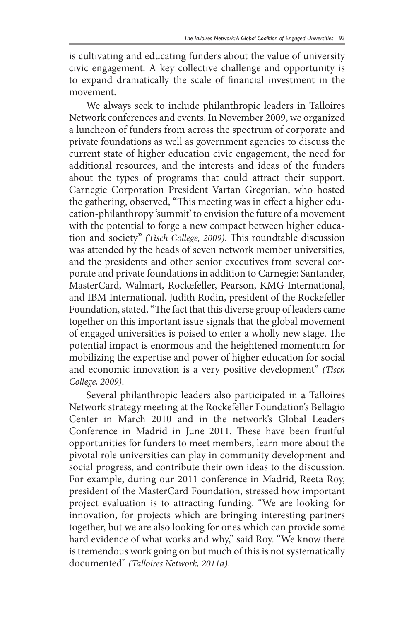is cultivating and educating funders about the value of university civic engagement. A key collective challenge and opportunity is to expand dramatically the scale of financial investment in the movement.

We always seek to include philanthropic leaders in Talloires Network conferences and events. In November 2009, we organized a luncheon of funders from across the spectrum of corporate and private foundations as well as government agencies to discuss the current state of higher education civic engagement, the need for additional resources, and the interests and ideas of the funders about the types of programs that could attract their support. Carnegie Corporation President Vartan Gregorian, who hosted the gathering, observed, "This meeting was in effect a higher education-philanthropy 'summit' to envision the future of a movement with the potential to forge a new compact between higher education and society" *(Tisch College, 2009)*. This roundtable discussion was attended by the heads of seven network member universities, and the presidents and other senior executives from several corporate and private foundations in addition to Carnegie: Santander, MasterCard, Walmart, Rockefeller, Pearson, KMG International, and IBM International. Judith Rodin, president of the Rockefeller Foundation, stated, "The fact that this diverse group of leaders came together on this important issue signals that the global movement of engaged universities is poised to enter a wholly new stage. The potential impact is enormous and the heightened momentum for mobilizing the expertise and power of higher education for social and economic innovation is a very positive development" *(Tisch College, 2009)*.

Several philanthropic leaders also participated in a Talloires Network strategy meeting at the Rockefeller Foundation's Bellagio Center in March 2010 and in the network's Global Leaders Conference in Madrid in June 2011. These have been fruitful opportunities for funders to meet members, learn more about the pivotal role universities can play in community development and social progress, and contribute their own ideas to the discussion. For example, during our 2011 conference in Madrid, Reeta Roy, president of the MasterCard Foundation, stressed how important project evaluation is to attracting funding. "We are looking for innovation, for projects which are bringing interesting partners together, but we are also looking for ones which can provide some hard evidence of what works and why," said Roy. "We know there is tremendous work going on but much of this is not systematically documented" *(Talloires Network, 2011a)*.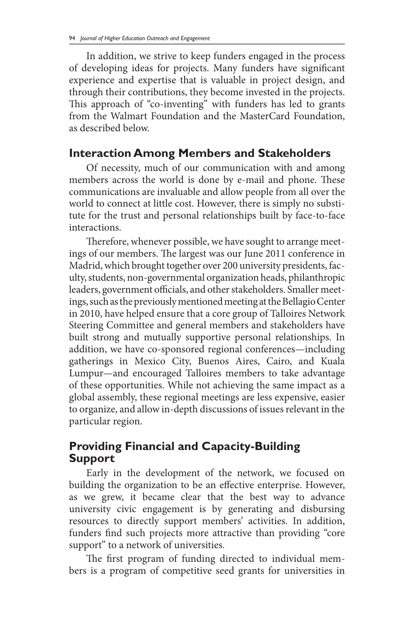In addition, we strive to keep funders engaged in the process of developing ideas for projects. Many funders have significant experience and expertise that is valuable in project design, and through their contributions, they become invested in the projects. This approach of "co-inventing" with funders has led to grants from the Walmart Foundation and the MasterCard Foundation, as described below.

### **Interaction Among Members and Stakeholders**

Of necessity, much of our communication with and among members across the world is done by e-mail and phone. These communications are invaluable and allow people from all over the world to connect at little cost. However, there is simply no substitute for the trust and personal relationships built by face-to-face interactions.

Therefore, whenever possible, we have sought to arrange meetings of our members. The largest was our June 2011 conference in Madrid, which brought together over 200 university presidents, faculty, students, non-governmental organization heads, philanthropic leaders, government officials, and other stakeholders. Smaller meetings, such as the previously mentioned meeting at the Bellagio Center in 2010, have helped ensure that a core group of Talloires Network Steering Committee and general members and stakeholders have built strong and mutually supportive personal relationships. In addition, we have co-sponsored regional conferences—including gatherings in Mexico City, Buenos Aires, Cairo, and Kuala Lumpur—and encouraged Talloires members to take advantage of these opportunities. While not achieving the same impact as a global assembly, these regional meetings are less expensive, easier to organize, and allow in-depth discussions of issues relevant in the particular region.

#### **Providing Financial and Capacity-Building Support**

Early in the development of the network, we focused on building the organization to be an effective enterprise. However, as we grew, it became clear that the best way to advance university civic engagement is by generating and disbursing resources to directly support members' activities. In addition, funders find such projects more attractive than providing "core support" to a network of universities.

The first program of funding directed to individual members is a program of competitive seed grants for universities in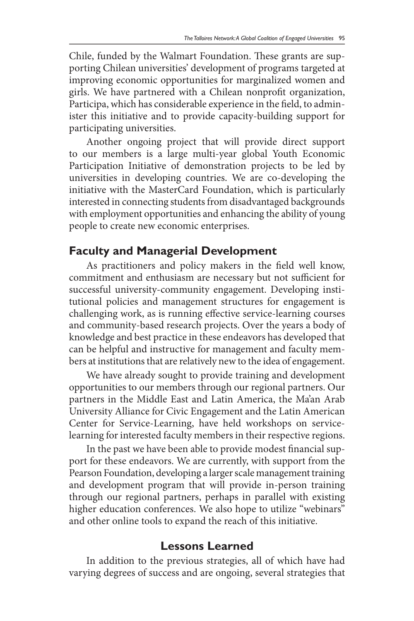Chile, funded by the Walmart Foundation. These grants are supporting Chilean universities' development of programs targeted at improving economic opportunities for marginalized women and girls. We have partnered with a Chilean nonprofit organization, Participa, which has considerable experience in the field, to administer this initiative and to provide capacity-building support for participating universities.

Another ongoing project that will provide direct support to our members is a large multi-year global Youth Economic Participation Initiative of demonstration projects to be led by universities in developing countries. We are co-developing the initiative with the MasterCard Foundation, which is particularly interested in connecting students from disadvantaged backgrounds with employment opportunities and enhancing the ability of young people to create new economic enterprises.

#### **Faculty and Managerial Development**

As practitioners and policy makers in the field well know, commitment and enthusiasm are necessary but not sufficient for successful university-community engagement. Developing institutional policies and management structures for engagement is challenging work, as is running effective service-learning courses and community-based research projects. Over the years a body of knowledge and best practice in these endeavors has developed that can be helpful and instructive for management and faculty members at institutions that are relatively new to the idea of engagement.

We have already sought to provide training and development opportunities to our members through our regional partners. Our partners in the Middle East and Latin America, the Ma'an Arab University Alliance for Civic Engagement and the Latin American Center for Service-Learning, have held workshops on servicelearning for interested faculty members in their respective regions.

In the past we have been able to provide modest financial support for these endeavors. We are currently, with support from the Pearson Foundation, developing a larger scale management training and development program that will provide in-person training through our regional partners, perhaps in parallel with existing higher education conferences. We also hope to utilize "webinars" and other online tools to expand the reach of this initiative.

#### **Lessons Learned**

In addition to the previous strategies, all of which have had varying degrees of success and are ongoing, several strategies that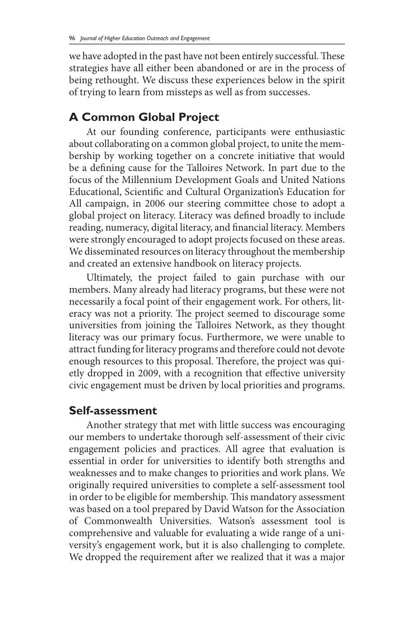we have adopted in the past have not been entirely successful. These strategies have all either been abandoned or are in the process of being rethought. We discuss these experiences below in the spirit of trying to learn from missteps as well as from successes.

### **A Common Global Project**

At our founding conference, participants were enthusiastic about collaborating on a common global project, to unite the membership by working together on a concrete initiative that would be a defining cause for the Talloires Network. In part due to the focus of the Millennium Development Goals and United Nations Educational, Scientific and Cultural Organization's Education for All campaign, in 2006 our steering committee chose to adopt a global project on literacy. Literacy was defined broadly to include reading, numeracy, digital literacy, and financial literacy. Members were strongly encouraged to adopt projects focused on these areas. We disseminated resources on literacy throughout the membership and created an extensive handbook on literacy projects.

Ultimately, the project failed to gain purchase with our members. Many already had literacy programs, but these were not necessarily a focal point of their engagement work. For others, literacy was not a priority. The project seemed to discourage some universities from joining the Talloires Network, as they thought literacy was our primary focus. Furthermore, we were unable to attract funding for literacy programs and therefore could not devote enough resources to this proposal. Therefore, the project was quietly dropped in 2009, with a recognition that effective university civic engagement must be driven by local priorities and programs.

## **Self-assessment**

Another strategy that met with little success was encouraging our members to undertake thorough self-assessment of their civic engagement policies and practices. All agree that evaluation is essential in order for universities to identify both strengths and weaknesses and to make changes to priorities and work plans. We originally required universities to complete a self-assessment tool in order to be eligible for membership. This mandatory assessment was based on a tool prepared by David Watson for the Association of Commonwealth Universities. Watson's assessment tool is comprehensive and valuable for evaluating a wide range of a university's engagement work, but it is also challenging to complete. We dropped the requirement after we realized that it was a major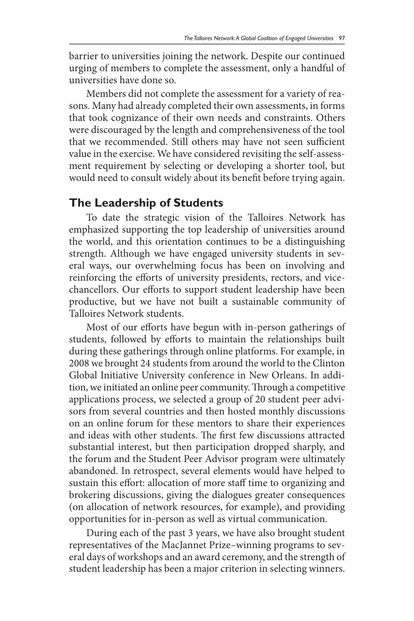barrier to universities joining the network. Despite our continued urging of members to complete the assessment, only a handful of universities have done so.

Members did not complete the assessment for a variety of reasons. Many had already completed their own assessments, in forms that took cognizance of their own needs and constraints. Others were discouraged by the length and comprehensiveness of the tool that we recommended. Still others may have not seen sufficient value in the exercise. We have considered revisiting the self-assessment requirement by selecting or developing a shorter tool, but would need to consult widely about its benefit before trying again.

#### **The Leadership of Students**

To date the strategic vision of the Talloires Network has emphasized supporting the top leadership of universities around the world, and this orientation continues to be a distinguishing strength. Although we have engaged university students in several ways, our overwhelming focus has been on involving and reinforcing the efforts of university presidents, rectors, and vicechancellors. Our efforts to support student leadership have been productive, but we have not built a sustainable community of Talloires Network students.

Most of our efforts have begun with in-person gatherings of students, followed by efforts to maintain the relationships built during these gatherings through online platforms. For example, in 2008 we brought 24 students from around the world to the Clinton Global Initiative University conference in New Orleans. In addition, we initiated an online peer community. Through a competitive applications process, we selected a group of 20 student peer advisors from several countries and then hosted monthly discussions on an online forum for these mentors to share their experiences and ideas with other students. The first few discussions attracted substantial interest, but then participation dropped sharply, and the forum and the Student Peer Advisor program were ultimately abandoned. In retrospect, several elements would have helped to sustain this effort: allocation of more staff time to organizing and brokering discussions, giving the dialogues greater consequences (on allocation of network resources, for example), and providing opportunities for in-person as well as virtual communication.

During each of the past 3 years, we have also brought student representatives of the MacJannet Prize–winning programs to several days of workshops and an award ceremony, and the strength of student leadership has been a major criterion in selecting winners.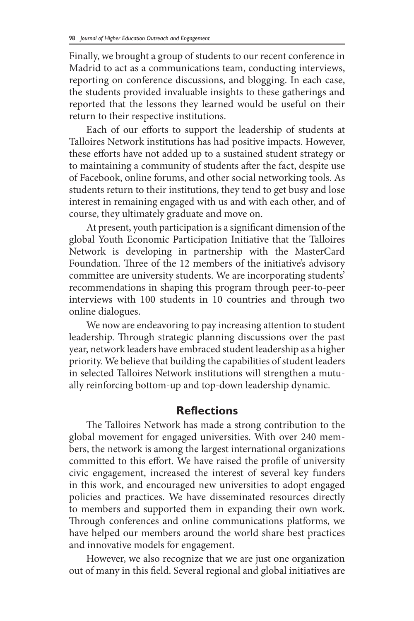Finally, we brought a group of students to our recent conference in Madrid to act as a communications team, conducting interviews, reporting on conference discussions, and blogging. In each case, the students provided invaluable insights to these gatherings and reported that the lessons they learned would be useful on their return to their respective institutions.

Each of our efforts to support the leadership of students at Talloires Network institutions has had positive impacts. However, these efforts have not added up to a sustained student strategy or to maintaining a community of students after the fact, despite use of Facebook, online forums, and other social networking tools. As students return to their institutions, they tend to get busy and lose interest in remaining engaged with us and with each other, and of course, they ultimately graduate and move on.

At present, youth participation is a significant dimension of the global Youth Economic Participation Initiative that the Talloires Network is developing in partnership with the MasterCard Foundation. Three of the 12 members of the initiative's advisory committee are university students. We are incorporating students' recommendations in shaping this program through peer-to-peer interviews with 100 students in 10 countries and through two online dialogues.

We now are endeavoring to pay increasing attention to student leadership. Through strategic planning discussions over the past year, network leaders have embraced student leadership as a higher priority. We believe that building the capabilities of student leaders in selected Talloires Network institutions will strengthen a mutually reinforcing bottom-up and top-down leadership dynamic.

#### **Reflections**

The Talloires Network has made a strong contribution to the global movement for engaged universities. With over 240 members, the network is among the largest international organizations committed to this effort. We have raised the profile of university civic engagement, increased the interest of several key funders in this work, and encouraged new universities to adopt engaged policies and practices. We have disseminated resources directly to members and supported them in expanding their own work. Through conferences and online communications platforms, we have helped our members around the world share best practices and innovative models for engagement.

However, we also recognize that we are just one organization out of many in this field. Several regional and global initiatives are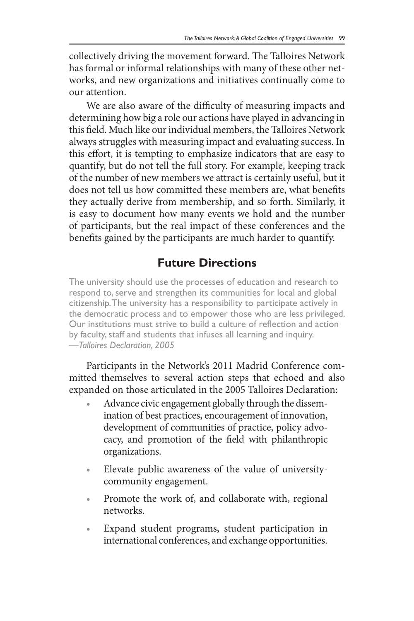collectively driving the movement forward. The Talloires Network has formal or informal relationships with many of these other networks, and new organizations and initiatives continually come to our attention.

We are also aware of the difficulty of measuring impacts and determining how big a role our actions have played in advancing in this field. Much like our individual members, the Talloires Network always struggles with measuring impact and evaluating success. In this effort, it is tempting to emphasize indicators that are easy to quantify, but do not tell the full story. For example, keeping track of the number of new members we attract is certainly useful, but it does not tell us how committed these members are, what benefits they actually derive from membership, and so forth. Similarly, it is easy to document how many events we hold and the number of participants, but the real impact of these conferences and the benefits gained by the participants are much harder to quantify.

### **Future Directions**

The university should use the processes of education and research to respond to, serve and strengthen its communities for local and global citizenship. The university has a responsibility to participate actively in the democratic process and to empower those who are less privileged. Our institutions must strive to build a culture of reflection and action by faculty, staff and students that infuses all learning and inquiry. *—Talloires Declaration, 2005*

Participants in the Network's 2011 Madrid Conference committed themselves to several action steps that echoed and also expanded on those articulated in the 2005 Talloires Declaration:

- Advance civic engagement globally through the dissemination of best practices, encouragement of innovation, development of communities of practice, policy advocacy, and promotion of the field with philanthropic organizations.
- Elevate public awareness of the value of universitycommunity engagement.
- Promote the work of, and collaborate with, regional networks.
- Expand student programs, student participation in international conferences, and exchange opportunities.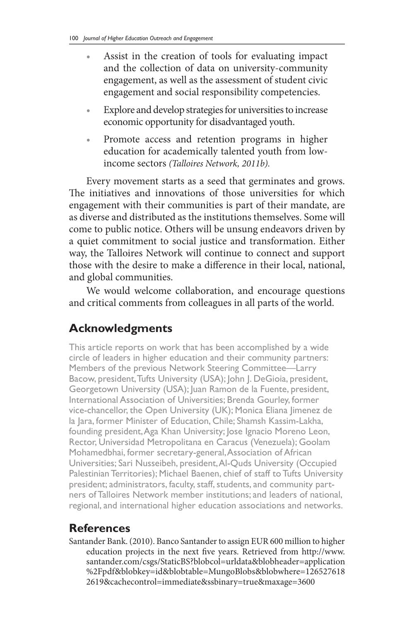- Assist in the creation of tools for evaluating impact and the collection of data on university-community engagement, as well as the assessment of student civic engagement and social responsibility competencies.
- Explore and develop strategies for universities to increase economic opportunity for disadvantaged youth.
- Promote access and retention programs in higher education for academically talented youth from lowincome sectors *(Talloires Network, 2011b).*

Every movement starts as a seed that germinates and grows. The initiatives and innovations of those universities for which engagement with their communities is part of their mandate, are as diverse and distributed as the institutions themselves. Some will come to public notice. Others will be unsung endeavors driven by a quiet commitment to social justice and transformation. Either way, the Talloires Network will continue to connect and support those with the desire to make a difference in their local, national, and global communities.

We would welcome collaboration, and encourage questions and critical comments from colleagues in all parts of the world.

# **Acknowledgments**

This article reports on work that has been accomplished by a wide circle of leaders in higher education and their community partners: Members of the previous Network Steering Committee—Larry Bacow, president, Tufts University (USA); John J. DeGioia, president, Georgetown University (USA); Juan Ramon de la Fuente, president, International Association of Universities; Brenda Gourley, former vice-chancellor, the Open University (UK); Monica Eliana Jimenez de la Jara, former Minister of Education, Chile; Shamsh Kassim-Lakha, founding president, Aga Khan University; Jose Ignacio Moreno Leon, Rector, Universidad Metropolitana en Caracus (Venezuela); Goolam Mohamedbhai, former secretary-general, Association of African Universities; Sari Nusseibeh, president, Al-Quds University (Occupied Palestinian Territories); Michael Baenen, chief of staff to Tufts University president; administrators, faculty, staff, students, and community partners of Talloires Network member institutions; and leaders of national, regional, and international higher education associations and networks.

### **References**

Santander Bank. (2010). Banco Santander to assign EUR 600 million to higher education projects in the next five years. Retrieved from http://www. santander.com/csgs/StaticBS?blobcol=urldata&blobheader=application %2Fpdf&blobkey=id&blobtable=MungoBlobs&blobwhere=126527618 2619&cachecontrol=immediate&ssbinary=true&maxage=3600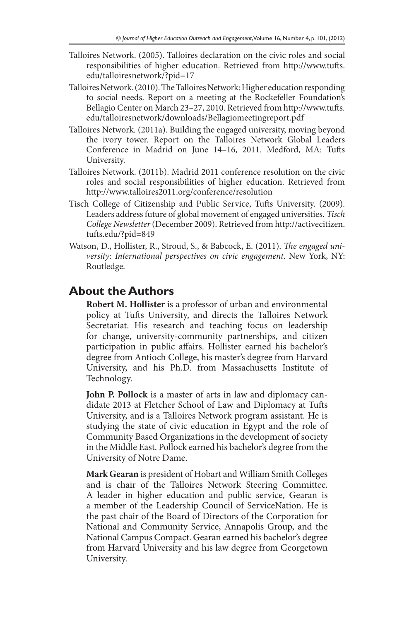- Talloires Network. (2005). Talloires declaration on the civic roles and social responsibilities of higher education. Retrieved from http://www.tufts. edu/talloiresnetwork/?pid=17
- Talloires Network. (2010). The Talloires Network: Higher education responding to social needs. Report on a meeting at the Rockefeller Foundation's Bellagio Center on March 23–27, 2010. Retrieved from http://www.tufts. edu/talloiresnetwork/downloads/Bellagiomeetingreport.pdf
- Talloires Network. (2011a). Building the engaged university, moving beyond the ivory tower. Report on the Talloires Network Global Leaders Conference in Madrid on June 14–16, 2011. Medford, MA: Tufts University.
- Talloires Network. (2011b). Madrid 2011 conference resolution on the civic roles and social responsibilities of higher education. Retrieved from http://www.talloires2011.org/conference/resolution
- Tisch College of Citizenship and Public Service, Tufts University. (2009). Leaders address future of global movement of engaged universities. *Tisch College Newsletter* (December 2009). Retrieved from http://activecitizen. tufts.edu/?pid=849
- Watson, D., Hollister, R., Stroud, S., & Babcock, E. (2011). *The engaged university: International perspectives on civic engagement*. New York, NY: Routledge.

#### **About the Authors**

**Robert M. Hollister** is a professor of urban and environmental policy at Tufts University, and directs the Talloires Network Secretariat. His research and teaching focus on leadership for change, university-community partnerships, and citizen participation in public affairs. Hollister earned his bachelor's degree from Antioch College, his master's degree from Harvard University, and his Ph.D. from Massachusetts Institute of Technology.

**John P. Pollock** is a master of arts in law and diplomacy candidate 2013 at Fletcher School of Law and Diplomacy at Tufts University, and is a Talloires Network program assistant. He is studying the state of civic education in Egypt and the role of Community Based Organizations in the development of society in the Middle East. Pollock earned his bachelor's degree from the University of Notre Dame.

**Mark Gearan** is president of Hobart and William Smith Colleges and is chair of the Talloires Network Steering Committee. A leader in higher education and public service, Gearan is a member of the Leadership Council of ServiceNation. He is the past chair of the Board of Directors of the Corporation for National and Community Service, Annapolis Group, and the National Campus Compact. Gearan earned his bachelor's degree from Harvard University and his law degree from Georgetown University.